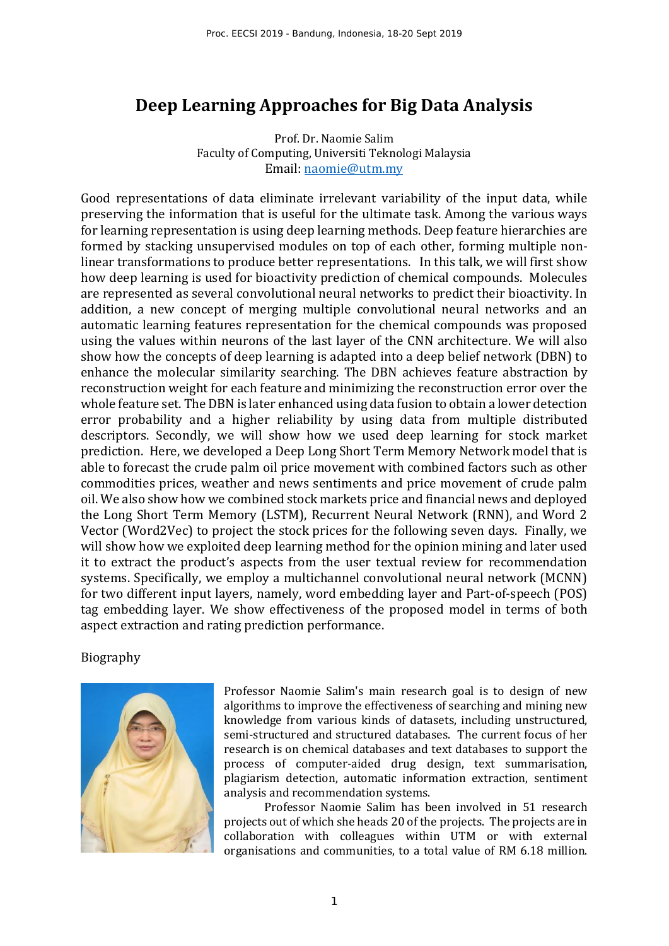## **Deep Learning Approaches for Big Data Analysis**

Prof. Dr. Naomie Salim Faculty of Computing, Universiti Teknologi Malaysia Email: naomie@utm.my

Good representations of data eliminate irrelevant variability of the input data, while preserving the information that is useful for the ultimate task. Among the various ways for learning representation is using deep learning methods. Deep feature hierarchies are formed by stacking unsupervised modules on top of each other, forming multiple nonlinear transformations to produce better representations. In this talk, we will first show how deep learning is used for bioactivity prediction of chemical compounds. Molecules are represented as several convolutional neural networks to predict their bioactivity. In addition, a new concept of merging multiple convolutional neural networks and an automatic learning features representation for the chemical compounds was proposed using the values within neurons of the last layer of the CNN architecture. We will also show how the concepts of deep learning is adapted into a deep belief network (DBN) to enhance the molecular similarity searching. The DBN achieves feature abstraction by reconstruction weight for each feature and minimizing the reconstruction error over the whole feature set. The DBN is later enhanced using data fusion to obtain a lower detection error probability and a higher reliability by using data from multiple distributed descriptors. Secondly, we will show how we used deep learning for stock market prediction. Here, we developed a Deep Long Short Term Memory Network model that is able to forecast the crude palm oil price movement with combined factors such as other commodities prices, weather and news sentiments and price movement of crude palm oil. We also show how we combined stock markets price and financial news and deployed the Long Short Term Memory (LSTM), Recurrent Neural Network (RNN), and Word 2 Vector (Word2Vec) to project the stock prices for the following seven days. Finally, we will show how we exploited deep learning method for the opinion mining and later used it to extract the product's aspects from the user textual review for recommendation systems. Specifically, we employ a multichannel convolutional neural network (MCNN) for two different input layers, namely, word embedding layer and Part-of-speech (POS) tag embedding layer. We show effectiveness of the proposed model in terms of both aspect extraction and rating prediction performance.

Biography



Professor Naomie Salim's main research goal is to design of new algorithms to improve the effectiveness of searching and mining new knowledge from various kinds of datasets, including unstructured, semi-structured and structured databases. The current focus of her research is on chemical databases and text databases to support the process of computer-aided drug design, text summarisation, plagiarism detection, automatic information extraction, sentiment analysis and recommendation systems.

Professor Naomie Salim has been involved in 51 research projects out of which she heads 20 of the projects. The projects are in collaboration with colleagues within UTM or with external organisations and communities, to a total value of RM 6.18 million.